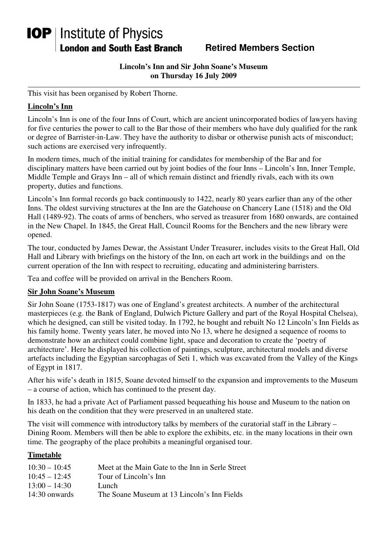# **IOP** | Institute of Physics **London and South East Branch**

## **Retired Members Section**

#### **Lincoln's Inn and Sir John Soane's Museum on Thursday 16 July 2009**

This visit has been organised by Robert Thorne.

## **Lincoln's Inn**

Lincoln's Inn is one of the four Inns of Court, which are ancient unincorporated bodies of lawyers having for five centuries the power to call to the Bar those of their members who have duly qualified for the rank or degree of Barrister-in-Law. They have the authority to disbar or otherwise punish acts of misconduct; such actions are exercised very infrequently.

In modern times, much of the initial training for candidates for membership of the Bar and for disciplinary matters have been carried out by joint bodies of the four Inns – Lincoln's Inn, Inner Temple, Middle Temple and Grays Inn – all of which remain distinct and friendly rivals, each with its own property, duties and functions.

Lincoln's Inn formal records go back continuously to 1422, nearly 80 years earlier than any of the other Inns. The oldest surviving structures at the Inn are the Gatehouse on Chancery Lane (1518) and the Old Hall (1489-92). The coats of arms of benchers, who served as treasurer from 1680 onwards, are contained in the New Chapel. In 1845, the Great Hall, Council Rooms for the Benchers and the new library were opened.

The tour, conducted by James Dewar, the Assistant Under Treasurer, includes visits to the Great Hall, Old Hall and Library with briefings on the history of the Inn, on each art work in the buildings and on the current operation of the Inn with respect to recruiting, educating and administering barristers.

Tea and coffee will be provided on arrival in the Benchers Room.

#### **Sir John Soane's Museum**

Sir John Soane (1753-1817) was one of England's greatest architects. A number of the architectural masterpieces (e.g. the Bank of England, Dulwich Picture Gallery and part of the Royal Hospital Chelsea), which he designed, can still be visited today. In 1792, he bought and rebuilt No 12 Lincoln's Inn Fields as his family home. Twenty years later, he moved into No 13, where he designed a sequence of rooms to demonstrate how an architect could combine light, space and decoration to create the 'poetry of architecture'. Here he displayed his collection of paintings, sculpture, architectural models and diverse artefacts including the Egyptian sarcophagas of Seti 1, which was excavated from the Valley of the Kings of Egypt in 1817.

After his wife's death in 1815, Soane devoted himself to the expansion and improvements to the Museum – a course of action, which has continued to the present day.

In 1833, he had a private Act of Parliament passed bequeathing his house and Museum to the nation on his death on the condition that they were preserved in an unaltered state.

The visit will commence with introductory talks by members of the curatorial staff in the Library – Dining Room. Members will then be able to explore the exhibits, etc. in the many locations in their own time. The geography of the place prohibits a meaningful organised tour.

### **Timetable**

| $10:30 - 10:45$ | Meet at the Main Gate to the Inn in Serle Street |
|-----------------|--------------------------------------------------|
| $10:45 - 12:45$ | Tour of Lincoln's Inn                            |
| $13:00 - 14:30$ | Lunch.                                           |
| 14:30 onwards   | The Soane Museum at 13 Lincoln's Inn Fields      |